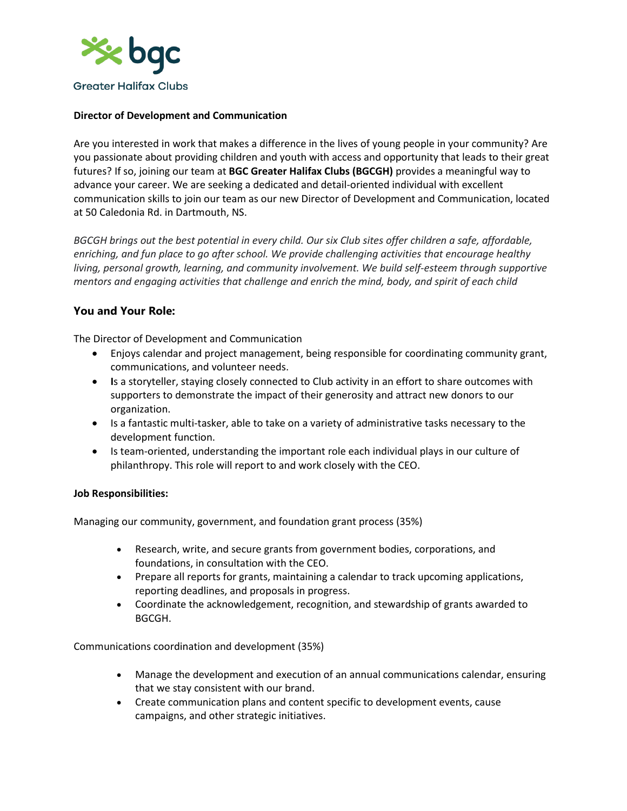

# **Director of Development and Communication**

Are you interested in work that makes a difference in the lives of young people in your community? Are you passionate about providing children and youth with access and opportunity that leads to their great futures? If so, joining our team at **BGC Greater Halifax Clubs (BGCGH)** provides a meaningful way to advance your career. We are seeking a dedicated and detail-oriented individual with excellent communication skills to join our team as our new Director of Development and Communication, located at 50 Caledonia Rd. in Dartmouth, NS.

*BGCGH brings out the best potential in every child. Our six Club sites offer children a safe, affordable, enriching, and fun place to go after school. We provide challenging activities that encourage healthy living, personal growth, learning, and community involvement. We build self-esteem through supportive mentors and engaging activities that challenge and enrich the mind, body, and spirit of each child*

# **You and Your Role:**

The Director of Development and Communication

- Enjoys calendar and project management, being responsible for coordinating community grant, communications, and volunteer needs.
- **I**s a storyteller, staying closely connected to Club activity in an effort to share outcomes with supporters to demonstrate the impact of their generosity and attract new donors to our organization.
- Is a fantastic multi-tasker, able to take on a variety of administrative tasks necessary to the development function.
- Is team-oriented, understanding the important role each individual plays in our culture of philanthropy. This role will report to and work closely with the CEO.

## **Job Responsibilities:**

Managing our community, government, and foundation grant process (35%)

- Research, write, and secure grants from government bodies, corporations, and foundations, in consultation with the CEO.
- Prepare all reports for grants, maintaining a calendar to track upcoming applications, reporting deadlines, and proposals in progress.
- Coordinate the acknowledgement, recognition, and stewardship of grants awarded to BGCGH.

Communications coordination and development (35%)

- Manage the development and execution of an annual communications calendar, ensuring that we stay consistent with our brand.
- Create communication plans and content specific to development events, cause campaigns, and other strategic initiatives.